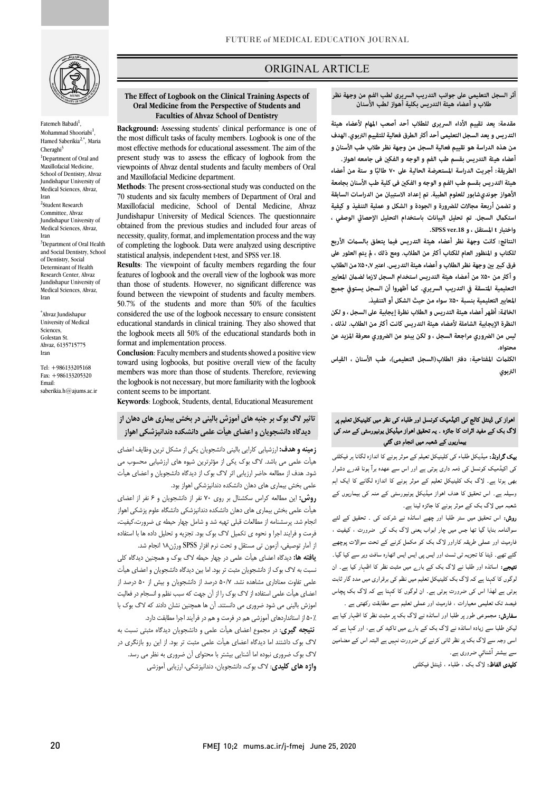

Fatemeh Babadi $^1$ , Mohammad Shooriabi<sup>1</sup>, Hamed Saberikia<sup>2,\*</sup>, Maria  $Cheraghi<sup>3</sup>$ <sup>1</sup>Department of Oral and Maxillofacial Medicine, School of Dentistry, Ahvaz Jundishapur University of Medical Sciences, Ahvaz, Iran 2 Student Research Committee, Ahvaz Jundishapur University of Medical Sciences, Ahvaz, Iran <sup>3</sup>Department of Oral Health and Social Dentistry, School of Dentistry, Social Determinant of Health Research Center, Ahvaz Jundishapur University of Medical Sciences, Ahvaz, Iran

\* Ahvaz Jundishapur University of Medical Sciences, Golestan St. Ahvaz, 6135715775 Iran

Tel: +986133205168 Fax: +986133205320 Email: saberikia.h@ajums.ac.ir

# ORIGINAL ARTICLE

#### **The Effect of Logbook on the Clinical Training Aspects of Faculties of Ahvaz School of Dentistry Oral Medicine from the Perspective of Students and**

Ī

 **Background:** Assessing students' clinical performance is one of the most difficult tasks of faculty members. Logbook is one of the present study was to assess the efficacy of logbook from the viewpoints of Ahvaz dental students and faculty members of Oral most effective methods for educational assessment. The aim of the and Maxillofacial Medicine department.

 **Methods**: The present cross-sectional study was conducted on the 70 students and six faculty members of Department of Oral and Maxillofacial medicine, School of Dental Medicine, Ahvaz obtained from the previous studies and included four areas of necessity, quality, format, and implementation process and the way of completing the logbook. Data were analyzed using descriptive Jundishapur University of Medical Sciences. The questionnaire statistical analysis, independent t-test, and SPSS ver.18.

 **Results**: The viewpoint of faculty members regarding the four features of logbook and the overall view of the logbook was more found between the viewpoint of students and faculty members. 50.7% of the students and more than 50% of the faculties considered the use of the logbook necessary to ensure consistent the logbook meets all 50% of the educational standards both in than those of students. However, no significant difference was educational standards in clinical training. They also showed that format and implementation process.

 toward using logbooks, but positive overall view of the faculty members was more than those of students. Therefore, reviewing the logbook is not necessary, but more familiarity with the logbook **Conclusion**: Faculty members and students showed a positive view content seems to be important.

**Keywords**: Logbook, Students, dental, Educational Measurement

# **تاثیر لاگ بوك بر جنبه هاي آموزش بالینی در بخش بیماري هاي دهان از دیدگاه دانشجویان و اعضاي هیأت علمی دانشکده دندانپزشکی اهواز**

**یماریر، کے شعبہ میں انجام دی گئي**<br>اسک کار کارتھا کہ میٹرمین کالزبارہ اگانا رہنگا<sup>ر</sup> ہے کارو**ینه و هدف:** ارزشیابی کارایی بالینی دانشجویان یکی از مشکل ترین وظایف اعضای هیأت علمی می باشد. لاگ بوك یکی از مؤثرترین شیوه هاي ارزشیابی محسوب می علمی بخش بیماري هاي دهان دانشکده دندانپزشکی اهواز بود. شود. هدف از مطالعه حاضر ارزیابی اثر لاگ بوك از دیدگاه دانشجویان و اعضاي هیأت

 **روش:** این مطالعه کراس سکشنال بر روي 70 نفر از دانشجویان و 6 نفر از اعضاي هیأت علمی بخش بیماري هاي دهان دانشکده دندانپزشکی دانشگاه علوم پزشکی اهواز انجام شد. پرسشنامه از مطالعات قبلی تهیه شد و شامل چهار حیطه ي ضرورت،کیفیت، فرمت و فرایند اجرا و نحوه ي تکمیل لاگ بوك بود. تجزیه و تحلیل داده ها با استفاده از آمار توصیفی، آزمون تی مستقل و تحت نرم افزار SPSS ورژن18 انجام شد.

 **یافته ها:** دیدگاه اعضاي هیأت علمی در چهار حیطه لاگ بوك و همچنین دیدگاه کلی علیب به در حاجر دانشدبویان سبب تر بود. اما بین دیده، دانشجویان و احتمای نبیات<br>علمی تفاوت معناداری مشاهده نشد. ۵۰/۷ درصد از دانشجویان و بیش از ۵۰ درصد از اعضاي هیأت علمی استفاده از لاگ بوك را از آن جهت که سبب نظم و انسجام در فعالیت اموزش بالینی می شود ضروري می دانستند. آن ها همچنین نشان دادند که لاگ بوك با 50٪ از استانداردهاي آموزشی هم در فرمت و هم در فرآیند اجرا مطابقت دارد. **نتیجه گیري**: در مجموع اعضاي هیأت علمی و دانشجویان دیدگاه مثبتی نسبت به لاگ بوك داشتند اما دیدگاه اعضاي هیأت علمی مثبت تر بود. از این رو بازنگري در نسبت به لاگ بوك از دانشجویان مثبت تر بود. اما بین دیدگاه دانشجویان و اعضاي هیأت

 لاگ بوك ضروري نبوده اما آشنایی بیشتر با محتواي آن ضروري به نظر می رسد. **واژه هاي کلیدي**: لاگ بوك، دانشجویان، دندانپزشکی، ارزیابی آموزشی

#### طلاب و أعضاء هيئة التدريس بكلية أهواز لطب الأسنان أثر السجل التعليمي على جوانب التدريب السريرى لطب الفم من وجهة نظر

ص

 **مقدمة: يعد تقييم الأداء السریری للطلاب أحد أصعب المهام لأعضاء هيئة Dentistry of School Ahvaz of Faculties من هذه الدراسة هو تقييم فعالية السجل من وجهة نظر طلاب طب الأسنان و أعضاء هيئة التدريس بقسم طب الفم و الوجه و الفك فی جامعه اهواز. التدريس و يعد السجل التعلیمی أحد أك الطرق فعالية للتقييم التربوي. الهدف** 

 **ً الطريقة: أجريت الدراسة المستعرضة الحالية على ۷۰ ا و ستة من أعضاء طالب هيئة التدريس بقسم طب الفم و الوجه و الفك فی كلية طب الأسنان بجامعة الأهواز جونديشابور للعلوم الطبية. تم إعداد الاستبيان من الدراسات السابقة و تضمن أربعة مجالات للضرورة و الجودة و الشكل و عملية التنفيذ و كيفية**  استكمال السجل. تم تحليل البيانات باستخدام التحليل الإحصائي الوصفي ،<br>. **واختبار t المستقل ، و .18ver SPSS.**

ر مع ب<sub>عد</sub>ر .<br>النتائج: كانت وجهة نظر أعضاء هيئة التدريس فيما يتعلق بالسمات الأربع **للكتاب و المنظور العام للكتاب أك من الطلاب. ومع ذلك ، يتم العثور على فرق كب ب وجهة نظر الطلاب و أعضاء هيئة التدريس. اعتبر ٪۵۰٫۷ من الطلاب**  و أكثر من ۵۰٪ من أعضاء هيئة التدريس استخدام السجل لازما لضمان المعايير التعليمية المتسقة في التدريب السريري. كما أظهروا أن السجل يستوفي جميع **المعاي التعليمية بنسبة ٪۵۰ سواء من حيث الشكل أو التنفيذ.**

 **الخاة: أظهر أعضاء هيئة التدريس و الطلاب نظرة إيجابية على السجل ، و لكن ليس من الضروري مراجعة السجل ، و لكن يبدو من الضروري معرفة المزيد عن**  النظرة الإيجابية الشاملة لأعضاء هيئة التدريس كانت أكثر من الطلاب. لذلك ، **محتواه.**

 **الكلت المفتاحية: دفتر الطلاب(السجل التعلیمی)، طب الأسنان ، القياس التربوي**

# میں سے سیس سینج کی میڈیا کا سیس رو سب سی سر میں سینج کی مدم کی۔<br>لاگ بک کے مفید اثرات کا جائزہ ۔ یہ تحقیق اهواز میڈیکل یونیورسٹی کے منہ کی اہواز کی ڈینٹل کالج کی اکیڈمیک کونسل اور طلباء کی نظر میں کلینیکل تعلیم پر

**یک گراونڈ:** میڈیکل طلباء کی کلینیکل تعیلم کے موثر ہونے کا اندازہ لگانا ہر فیکلٹی کی اکیڈمیک کونسل کی ذمہ داری ہوتی ہے اور اس سے عهده برآ ہونا قدرے دشوار بھی ہوتا ہے۔ لاگ بک کلینیکل تعلیم کے موثر ہونے کا اندازہ لگانے کا ایک اہم وسیلہ ہے۔ اس تحقیق کا ہدف اہواز میڈیکل یونیورسٹی کے منہ کی بیماریوں کے شعبہ میں لاگ بک کے موثر ہونے کا جائزہ لینا ہے۔

ر**وش:** اس تحقیق میں ستر طلبا اور چھے اساتذہ نے شرکت کی ۔ تحقیق کے لئے<br>۔ سوالنامہ بنایا گیا تھا جس میں چار ابواب یعنی لاگ بک کی ضرورت ، کیفیت ،<br>. نارمیٹ اور عملی طریقہ کاراور لاگ بک کو مکمل کرنے کے تحت سوالات پوچھے<br>پر مسلمان میں مسلمان اور گرمانی کے مطابق میں مسلمان میں مسلمان کے مطابق کے مطابق : اہ اور گ رے ار ۔ ان ۔<br>لوگوں کا کہنا ہے کہ لاگ بک کلینیکل تعلیم میں نظم کی برقراری میں مدد گار ثابت ہوتی ہے لھذا اس کی ضرورت ہوتی ہے۔ ان لوگوں کا کہنا ہے کہ لاگ بک پچاس فیصد تک تعلیمی معیارات ، فارمیٹ اور عملی تعلیم سے مطابقت رکھتی ہے ۔ گئے تھے۔ ڈیٹا کا تجزیہ ٹی ٹسٹ اور ایس پی ایس ایس اٹھارہ سافٹ ویر سے کیا گیا۔

**سفارش:** مجموعی طور پر طلبا اور اساتذہ نے لاگ بک پر مثبت نظر کا اظہار کیا ہے لیکن طلبا سے زیادہ اساتذہ نے لاگ بک کے بارے میں تاکید کی ہے، اور کہا ہے کہ سی وجہ سے لاگ بک پر نظر ثانی کرنے کی ضرورت نہیں ہے البتہ اس کے مضامین سے بیشتر آشنائي ضروری ہے۔

**کلیدی الفاظ:** لاگ بک ، طلباء ، ڈینٹل فیکلٹی<br>۔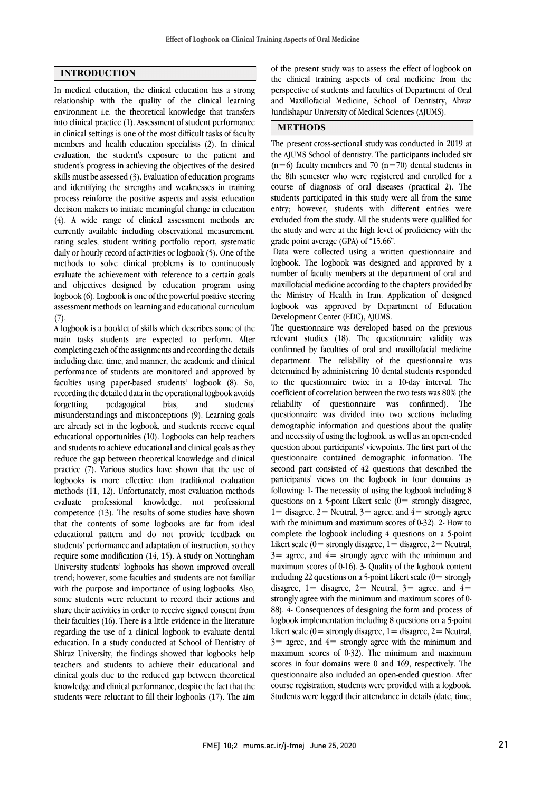# **INTRODUCTION**

In medical education, the clinical education has a strong relationship with the quality of the clinical learning environment i.e. the theoretical knowledge that transfers into clinical practice (1). Assessment of student performance in clinical settings is one of the most difficult tasks of faculty members and health education specialists (2). In clinical evaluation, the student's exposure to the patient and student's progress in achieving the objectives of the desired skills must be assessed (3). Evaluation of education programs and identifying the strengths and weaknesses in training process reinforce the positive aspects and assist education decision makers to initiate meaningful change in education (4). A wide range of clinical assessment methods are currently available including observational measurement, rating scales, student writing portfolio report, systematic daily or hourly record of activities or logbook (5). One of the methods to solve clinical problems is to continuously evaluate the achievement with reference to a certain goals and objectives designed by education program using logbook (6). Logbook is one of the powerful positive steering assessment methods on learning and educational curriculum  $(7).$ 

A logbook is a booklet of skills which describes some of the main tasks students are expected to perform. After completing each of the assignments and recording the details including date, time, and manner, the academic and clinical performance of students are monitored and approved by faculties using paper-based students' logbook (8). So, recording the detailed data in the operational logbook avoids forgetting, pedagogical bias, and students' misunderstandings and misconceptions (9). Learning goals are already set in the logbook, and students receive equal educational opportunities (10). Logbooks can help teachers and students to achieve educational and clinical goals as they reduce the gap between theoretical knowledge and clinical practice (7). Various studies have shown that the use of logbooks is more effective than traditional evaluation methods (11, 12). Unfortunately, most evaluation methods evaluate professional knowledge, not professional competence (13). The results of some studies have shown that the contents of some logbooks are far from ideal educational pattern and do not provide feedback on students' performance and adaptation of instruction, so they require some modification (14, 15). A study on Nottingham University students' logbooks has shown improved overall trend; however, some faculties and students are not familiar with the purpose and importance of using logbooks. Also, some students were reluctant to record their actions and share their activities in order to receive signed consent from their faculties (16). There is a little evidence in the literature regarding the use of a clinical logbook to evaluate dental education. In a study conducted at School of Dentistry of Shiraz University, the findings showed that logbooks help teachers and students to achieve their educational and clinical goals due to the reduced gap between theoretical knowledge and clinical performance, despite the fact that the students were reluctant to fill their logbooks (17). The aim

 the clinical training aspects of oral medicine from the perspective of students and faculties of Department of Oral and Maxillofacial Medicine, School of Dentistry, Ahvaz Jundishapur University of Medical Sciences (AJUMS). of the present study was to assess the effect of logbook on

#### **METHODS**

 The present cross-sectional study was conducted in 2019 at the AJUMS School of dentistry. The participants included six  $(n=6)$  faculty members and 70  $(n=70)$  dental students in course of diagnosis of oral diseases (practical 2). The students participated in this study were all from the same entry; however, students with different entries were excluded from the study. All the students were qualified for grade point average (GPA) of "15.66". the 8th semester who were registered and enrolled for a the study and were at the high level of proficiency with the

 Data were collected using a written questionnaire and logbook. The logbook was designed and approved by a number of faculty members at the department of oral and the Ministry of Health in Iran. Application of designed logbook was approved by Department of Education Development Center (EDC), AJUMS. maxillofacial medicine according to the chapters provided by

 The questionnaire was developed based on the previous confirmed by faculties of oral and maxillofacial medicine department. The reliability of the questionnaire was determined by administering 10 dental students responded to the questionnaire twice in a 10-day interval. The reliability of questionnaire was confirmed). The questionnaire was divided into two sections including demographic information and questions about the quality and necessity of using the logbook, as well as an open-ended questionnaire contained demographic information. The second part consisted of 42 questions that described the participants' views on the logbook in four domains as following: 1- The necessity of using the logbook including 8  $1 =$  disagree,  $2 =$  Neutral,  $3 =$  agree, and  $4 =$  strongly agree with the minimum and maximum scores of 0-32). 2- How to complete the logbook including 4 questions on a 5-point Likert scale ( $0=$  strongly disagree,  $1=$  disagree,  $2=$  Neutral, maximum scores of 0-16). 3- Quality of the logbook content including 22 questions on a 5-point Likert scale  $(0=$  strongly disagree,  $1=$  disagree,  $2=$  Neutral,  $3=$  agree, and  $4=$  strongly agree with the minimum and maximum scores of 0- logbook implementation including 8 questions on a 5-point Likert scale  $(0=$  strongly disagree,  $1=$  disagree,  $2=$  Neutral,  $3=$  agree, and  $4=$  strongly agree with the minimum and maximum scores of 0-32). The minimum and maximum questionnaire also included an open-ended question. After course registration, students were provided with a logbook. Students were logged their attendance in details (date, time, relevant studies (18). The questionnaire validity was coefficient of correlation between the two tests was 80% (the question about participants' viewpoints. The first part of the questions on a 5-point Likert scale  $(0=$  strongly disagree,  $3=$  agree, and  $4=$  strongly agree with the minimum and 88). 4- Consequences of designing the form and process of scores in four domains were 0 and 169, respectively. The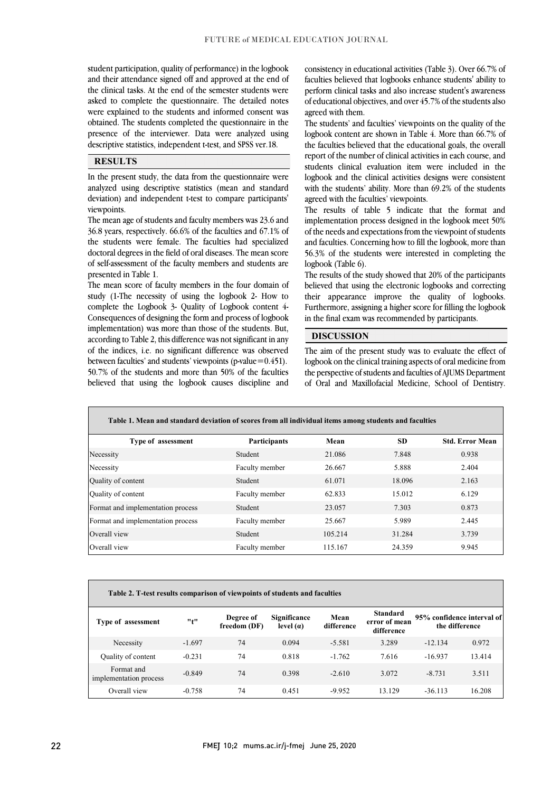j j

 and their attendance signed off and approved at the end of the clinical tasks. At the end of the semester students were asked to complete the questionnaire. The detailed notes were explained to the students and informed consent was obtained. The students completed the questionnaire in the descriptive statistics, independent t-test, and SPSS ver.18. student participation, quality of performance) in the logbook presence of the interviewer. Data were analyzed using

# **RESULTS**

 analyzed using descriptive statistics (mean and standard deviation) and independent t-test to compare participants' In the present study, the data from the questionnaire were viewpoints.

 The mean age of students and faculty members was 23.6 and the students were female. The faculties had specialized doctoral degrees in the field of oral diseases. The mean score of self-assessment of the faculty members and students are 36.8 years, respectively. 66.6% of the faculties and 67.1% of presented in Table 1.

 study (1-The necessity of using the logbook 2- How to complete the Logbook 3- Quality of Logbook content 4- Consequences of designing the form and process of logbook implementation) was more than those of the students. But, of the indices, i.e. no significant difference was observed between faculties' and students' viewpoints (p-value=0.451). 50.7% of the students and more than 50% of the faculties believed that using the logbook causes discipline and The mean score of faculty members in the four domain of according to Table 2, this difference was not significant in any

 consistency in educational activities (Table 3). Over 66.7% of perform clinical tasks and also increase student's awareness of educational objectives, and over 45.7% of the students also faculties believed that logbooks enhance students' ability to agreed with them.

The students' and faculties' viewpoints on the quality of the the faculties believed that the educational goals, the overall report of the number of clinical activities in each course, and students clinical evaluation item were included in the logbook and the clinical activities designs were consistent with the students' ability. More than 69.2% of the students<br>agreed with the faculties' viewpoints logbook content are shown in Table 4. More than 66.7% of agreed with the faculties' viewpoints.

 The results of table 5 indicate that the format and implementation process designed in the logbook meet 50% of the needsand expectations from the viewpoint of students 56.3% of the students were interested in completing the and faculties. Concerning how to fill the logbook, more than logbook (Table 6).

 The results of the study showed that 20% of the participants believed that using the electronic logbooks and correcting Furthermore, assigning a higher score for filling the logbook in the final exam was recommended by participants. their appearance improve the quality of logbooks.

ֺ֝

### **DISCUSSION**

 The aim of the present study was to evaluate the effect of logbook on the clinical training aspects of oral medicine from the perspective of students and faculties of AJUMS Department of Oral and Maxillofacial Medicine, School of Dentistry.

| Table 1. Mean and standard deviation of scores from all individual items among students and faculties |                |         |           |                        |
|-------------------------------------------------------------------------------------------------------|----------------|---------|-----------|------------------------|
| Type of assessment                                                                                    | Participants   | Mean    | <b>SD</b> | <b>Std. Error Mean</b> |
| Necessity                                                                                             | Student        | 21.086  | 7.848     | 0.938                  |
| Necessity                                                                                             | Faculty member | 26.667  | 5.888     | 2.404                  |
| Quality of content                                                                                    | Student        | 61.071  | 18.096    | 2.163                  |
| Quality of content                                                                                    | Faculty member | 62.833  | 15.012    | 6.129                  |
| Format and implementation process                                                                     | Student        | 23.057  | 7.303     | 0.873                  |
| Format and implementation process                                                                     | Faculty member | 25.667  | 5.989     | 2.445                  |
| Overall view                                                                                          | Student        | 105.214 | 31.284    | 3.739                  |
| Overall view                                                                                          | Faculty member | 115.167 | 24.359    | 9.945                  |

|  | Table 2. T-test results comparison of viewpoints of students and faculties |  |  |
|--|----------------------------------------------------------------------------|--|--|
|  |                                                                            |  |  |

| Type of assessment                   | "t"      | Degree of<br>freedom (DF) | Significance<br>level $(a)$ | Mean<br>difference | <b>Standard</b><br>error of mean<br>difference | 95% confidence interval of | the difference |
|--------------------------------------|----------|---------------------------|-----------------------------|--------------------|------------------------------------------------|----------------------------|----------------|
| Necessity                            | $-1.697$ | 74                        | 0.094                       | $-5.581$           | 3.289                                          | $-12.134$                  | 0.972          |
| Quality of content                   | $-0.231$ | 74                        | 0.818                       | $-1.762$           | 7.616                                          | $-16.937$                  | 13.414         |
| Format and<br>implementation process | $-0.849$ | 74                        | 0.398                       | $-2.610$           | 3.072                                          | $-8.731$                   | 3.511          |
| Overall view                         | $-0.758$ | 74                        | 0.451                       | $-9.952$           | 13.129                                         | $-36.113$                  | 16.208         |
|                                      |          |                           |                             |                    |                                                |                            |                |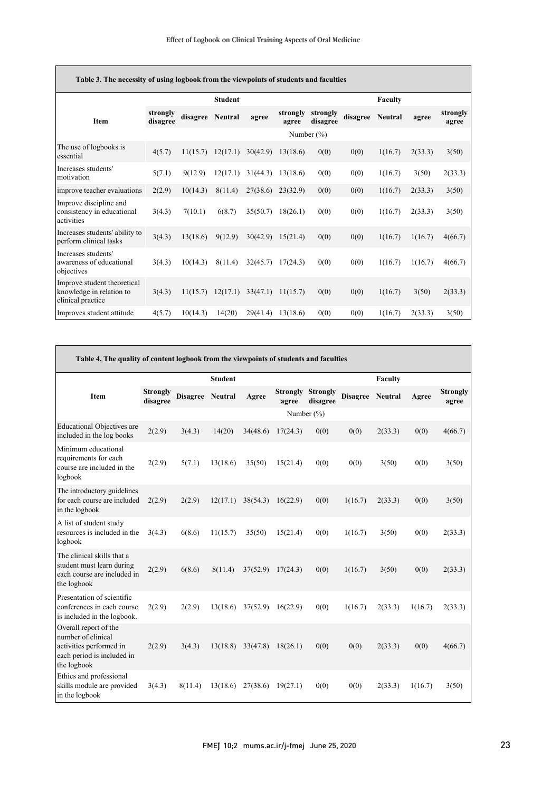| Table 3. The necessity of using logbook from the viewpoints of students and faculties |                      |          |                |          |                   |                      |          |                |         |                   |
|---------------------------------------------------------------------------------------|----------------------|----------|----------------|----------|-------------------|----------------------|----------|----------------|---------|-------------------|
|                                                                                       |                      |          | <b>Student</b> |          |                   |                      | Faculty  |                |         |                   |
| <b>Item</b>                                                                           | strongly<br>disagree | disagree | <b>Neutral</b> | agree    | strongly<br>agree | strongly<br>disagree | disagree | <b>Neutral</b> | agree   | strongly<br>agree |
|                                                                                       |                      |          |                |          |                   | Number $(\%)$        |          |                |         |                   |
| The use of logbooks is<br>essential                                                   | 4(5.7)               | 11(15.7) | 12(17.1)       | 30(42.9) | 13(18.6)          | 0(0)                 | 0(0)     | 1(16.7)        | 2(33.3) | 3(50)             |
| Increases students'<br>motivation                                                     | 5(7.1)               | 9(12.9)  | 12(17.1)       | 31(44.3) | 13(18.6)          | 0(0)                 | 0(0)     | 1(16.7)        | 3(50)   | 2(33.3)           |
| improve teacher evaluations                                                           | 2(2.9)               | 10(14.3) | 8(11.4)        | 27(38.6) | 23(32.9)          | 0(0)                 | 0(0)     | 1(16.7)        | 2(33.3) | 3(50)             |
| Improve discipline and<br>consistency in educational<br>activities                    | 3(4.3)               | 7(10.1)  | 6(8.7)         | 35(50.7) | 18(26.1)          | 0(0)                 | 0(0)     | 1(16.7)        | 2(33.3) | 3(50)             |
| Increases students' ability to<br>perform clinical tasks                              | 3(4.3)               | 13(18.6) | 9(12.9)        | 30(42.9) | 15(21.4)          | 0(0)                 | 0(0)     | 1(16.7)        | 1(16.7) | 4(66.7)           |
| Increases students'<br>awareness of educational<br>objectives                         | 3(4.3)               | 10(14.3) | 8(11.4)        | 32(45.7) | 17(24.3)          | 0(0)                 | 0(0)     | 1(16.7)        | 1(16.7) | 4(66.7)           |
| Improve student theoretical<br>knowledge in relation to<br>clinical practice          | 3(4.3)               | 11(15.7) | 12(17.1)       | 33(47.1) | 11(15.7)          | 0(0)                 | 0(0)     | 1(16.7)        | 3(50)   | 2(33.3)           |
| Improves student attitude                                                             | 4(5.7)               | 10(14.3) | 14(20)         | 29(41.4) | 13(18.6)          | 0(0)                 | 0(0)     | 1(16.7)        | 2(33.3) | 3(50)             |

| Table 4. The quality of content logbook from the viewpoints of students and faculties                               |                             |                 |                |          |                          |                             |                 |                |         |                          |
|---------------------------------------------------------------------------------------------------------------------|-----------------------------|-----------------|----------------|----------|--------------------------|-----------------------------|-----------------|----------------|---------|--------------------------|
|                                                                                                                     |                             | <b>Faculty</b>  |                |          |                          |                             |                 |                |         |                          |
| <b>Item</b>                                                                                                         | <b>Strongly</b><br>disagree | <b>Disagree</b> | <b>Neutral</b> | Agree    | <b>Strongly</b><br>agree | <b>Strongly</b><br>disagree | <b>Disagree</b> | <b>Neutral</b> | Agree   | <b>Strongly</b><br>agree |
|                                                                                                                     |                             |                 |                |          |                          | Number $(\% )$              |                 |                |         |                          |
| <b>Educational Objectives are</b><br>included in the log books                                                      | 2(2.9)                      | 3(4.3)          | 14(20)         | 34(48.6) | 17(24.3)                 | 0(0)                        | 0(0)            | 2(33.3)        | 0(0)    | 4(66.7)                  |
| Minimum educational<br>requirements for each<br>course are included in the<br>logbook                               | 2(2.9)                      | 5(7.1)          | 13(18.6)       | 35(50)   | 15(21.4)                 | 0(0)                        | 0(0)            | 3(50)          | 0(0)    | 3(50)                    |
| The introductory guidelines<br>for each course are included<br>in the logbook                                       | 2(2.9)                      | 2(2.9)          | 12(17.1)       | 38(54.3) | 16(22.9)                 | 0(0)                        | 1(16.7)         | 2(33.3)        | 0(0)    | 3(50)                    |
| A list of student study<br>resources is included in the<br>logbook                                                  | 3(4.3)                      | 6(8.6)          | 11(15.7)       | 35(50)   | 15(21.4)                 | 0(0)                        | 1(16.7)         | 3(50)          | 0(0)    | 2(33.3)                  |
| The clinical skills that a<br>student must learn during<br>each course are included in<br>the logbook               | 2(2.9)                      | 6(8.6)          | 8(11.4)        | 37(52.9) | 17(24.3)                 | 0(0)                        | 1(16.7)         | 3(50)          | 0(0)    | 2(33.3)                  |
| Presentation of scientific<br>conferences in each course<br>is included in the logbook.                             | 2(2.9)                      | 2(2.9)          | 13(18.6)       | 37(52.9) | 16(22.9)                 | 0(0)                        | 1(16.7)         | 2(33.3)        | 1(16.7) | 2(33.3)                  |
| Overall report of the<br>number of clinical<br>activities performed in<br>each period is included in<br>the logbook | 2(2.9)                      | 3(4.3)          | 13(18.8)       | 33(47.8) | 18(26.1)                 | 0(0)                        | 0(0)            | 2(33.3)        | 0(0)    | 4(66.7)                  |
| Ethics and professional<br>skills module are provided<br>in the logbook                                             | 3(4.3)                      | 8(11.4)         | 13(18.6)       | 27(38.6) | 19(27.1)                 | 0(0)                        | 0(0)            | 2(33.3)        | 1(16.7) | 3(50)                    |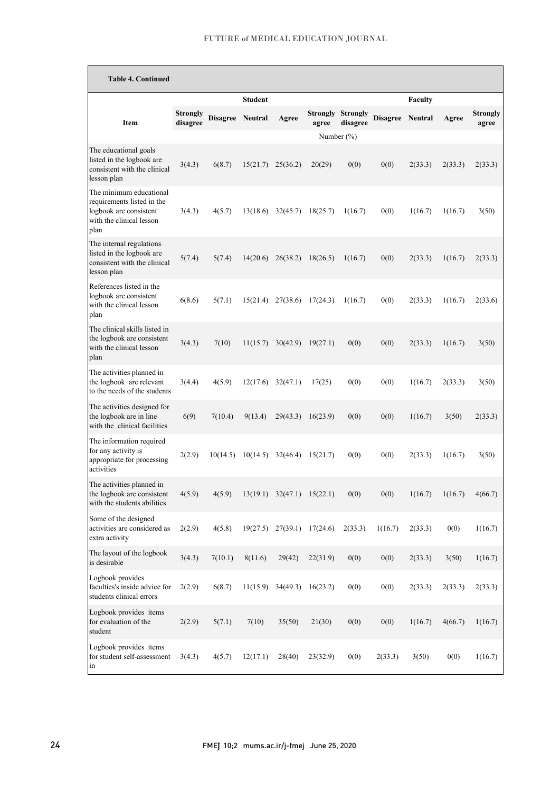| <b>Table 4. Continued</b>                                                                                           |                      |                  |                |                       |                   |                             |                  |         |         |                          |
|---------------------------------------------------------------------------------------------------------------------|----------------------|------------------|----------------|-----------------------|-------------------|-----------------------------|------------------|---------|---------|--------------------------|
|                                                                                                                     |                      |                  | <b>Student</b> |                       |                   |                             |                  | Faculty |         |                          |
| <b>Item</b>                                                                                                         | Strongly<br>disagree | Disagree Neutral |                | Agree                 | Strongly<br>agree | <b>Strongly</b><br>disagree | Disagree Neutral |         | Agree   | <b>Strongly</b><br>agree |
|                                                                                                                     |                      |                  |                |                       |                   | Number $(\%)$               |                  |         |         |                          |
| The educational goals<br>listed in the logbook are<br>consistent with the clinical<br>lesson plan                   | 3(4.3)               | 6(8.7)           | 15(21.7)       | 25(36.2)              | 20(29)            | 0(0)                        | 0(0)             | 2(33.3) | 2(33.3) | 2(33.3)                  |
| The minimum educational<br>requirements listed in the<br>logbook are consistent<br>with the clinical lesson<br>plan | 3(4.3)               | 4(5.7)           | 13(18.6)       | 32(45.7)              | 18(25.7)          | 1(16.7)                     | 0(0)             | 1(16.7) | 1(16.7) | 3(50)                    |
| The internal regulations<br>listed in the logbook are<br>consistent with the clinical<br>lesson plan                | 5(7.4)               | 5(7.4)           | 14(20.6)       | 26(38.2)              | 18(26.5)          | 1(16.7)                     | 0(0)             | 2(33.3) | 1(16.7) | 2(33.3)                  |
| References listed in the<br>logbook are consistent<br>with the clinical lesson<br>plan                              | 6(8.6)               | 5(7.1)           | 15(21.4)       | 27(38.6)              | 17(24.3)          | 1(16.7)                     | 0(0)             | 2(33.3) | 1(16.7) | 2(33.6)                  |
| The clinical skills listed in<br>the logbook are consistent<br>with the clinical lesson<br>plan                     | 3(4.3)               | 7(10)            | 11(15.7)       | 30(42.9)              | 19(27.1)          | 0(0)                        | 0(0)             | 2(33.3) | 1(16.7) | 3(50)                    |
| The activities planned in<br>the logbook are relevant<br>to the needs of the students                               | 3(4.4)               | 4(5.9)           | 12(17.6)       | 32(47.1)              | 17(25)            | 0(0)                        | 0(0)             | 1(16.7) | 2(33.3) | 3(50)                    |
| The activities designed for<br>the logbook are in line<br>with the clinical facilities                              | 6(9)                 | 7(10.4)          | 9(13.4)        | 29(43.3)              | 16(23.9)          | 0(0)                        | 0(0)             | 1(16.7) | 3(50)   | 2(33.3)                  |
| The information required<br>for any activity is<br>appropriate for processing<br>activities                         | 2(2.9)               | 10(14.5)         | 10(14.5)       | 32(46.4)              | 15(21.7)          | 0(0)                        | 0(0)             | 2(33.3) | 1(16.7) | 3(50)                    |
| The activities planned in<br>the logbook are consistent<br>with the students abilities                              | 4(5.9)               | 4(5.9)           |                | $13(19.1)$ $32(47.1)$ | 15(22.1)          | 0(0)                        | 0(0)             | 1(16.7) | 1(16.7) | 4(66.7)                  |
| Some of the designed<br>activities are considered as<br>extra activity                                              | 2(2.9)               | 4(5.8)           | 19(27.5)       | 27(39.1)              | 17(24.6)          | 2(33.3)                     | 1(16.7)          | 2(33.3) | 0(0)    | 1(16.7)                  |
| The layout of the logbook<br>is desirable                                                                           | 3(4.3)               | 7(10.1)          | 8(11.6)        | 29(42)                | 22(31.9)          | 0(0)                        | 0(0)             | 2(33.3) | 3(50)   | 1(16.7)                  |
| Logbook provides<br>faculties's inside advice for<br>students clinical errors                                       | 2(2.9)               | 6(8.7)           | 11(15.9)       | 34(49.3)              | 16(23.2)          | 0(0)                        | 0(0)             | 2(33.3) | 2(33.3) | 2(33.3)                  |
| Logbook provides items<br>for evaluation of the<br>student                                                          | 2(2.9)               | 5(7.1)           | 7(10)          | 35(50)                | 21(30)            | 0(0)                        | 0(0)             | 1(16.7) | 4(66.7) | 1(16.7)                  |
| Logbook provides items<br>for student self-assessment<br>in                                                         | 3(4.3)               | 4(5.7)           | 12(17.1)       | 28(40)                | 23(32.9)          | 0(0)                        | 2(33.3)          | 3(50)   | 0(0)    | 1(16.7)                  |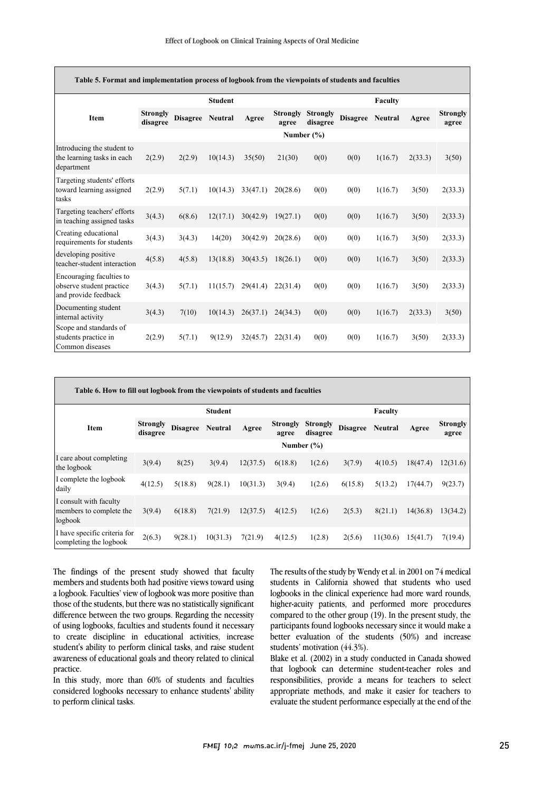| Table 5. Format and implementation process of logbook from the viewpoints of students and faculties |                             |                 |                |          |                          |                             |                 |         |         |                          |  |
|-----------------------------------------------------------------------------------------------------|-----------------------------|-----------------|----------------|----------|--------------------------|-----------------------------|-----------------|---------|---------|--------------------------|--|
|                                                                                                     |                             |                 | <b>Student</b> |          |                          |                             |                 | Faculty |         |                          |  |
| <b>Item</b>                                                                                         | <b>Strongly</b><br>disagree | <b>Disagree</b> | <b>Neutral</b> | Agree    | <b>Strongly</b><br>agree | <b>Strongly</b><br>disagree | <b>Disagree</b> | Neutral | Agree   | <b>Strongly</b><br>agree |  |
|                                                                                                     |                             |                 |                |          |                          | Number $(\% )$              |                 |         |         |                          |  |
| Introducing the student to<br>the learning tasks in each<br>department                              | 2(2.9)                      | 2(2.9)          | 10(14.3)       | 35(50)   | 21(30)                   | 0(0)                        | 0(0)            | 1(16.7) | 2(33.3) | 3(50)                    |  |
| Targeting students' efforts<br>toward learning assigned<br>tasks                                    | 2(2.9)                      | 5(7.1)          | 10(14.3)       | 33(47.1) | 20(28.6)                 | 0(0)                        | 0(0)            | 1(16.7) | 3(50)   | 2(33.3)                  |  |
| Targeting teachers' efforts<br>in teaching assigned tasks                                           | 3(4.3)                      | 6(8.6)          | 12(17.1)       | 30(42.9) | 19(27.1)                 | 0(0)                        | 0(0)            | 1(16.7) | 3(50)   | 2(33.3)                  |  |
| Creating educational<br>requirements for students                                                   | 3(4.3)                      | 3(4.3)          | 14(20)         | 30(42.9) | 20(28.6)                 | 0(0)                        | 0(0)            | 1(16.7) | 3(50)   | 2(33.3)                  |  |
| developing positive<br>teacher-student interaction                                                  | 4(5.8)                      | 4(5.8)          | 13(18.8)       | 30(43.5) | 18(26.1)                 | 0(0)                        | 0(0)            | 1(16.7) | 3(50)   | 2(33.3)                  |  |
| Encouraging faculties to<br>observe student practice<br>and provide feedback                        | 3(4.3)                      | 5(7.1)          | 11(15.7)       | 29(41.4) | 22(31.4)                 | 0(0)                        | 0(0)            | 1(16.7) | 3(50)   | 2(33.3)                  |  |
| Documenting student<br>internal activity                                                            | 3(4.3)                      | 7(10)           | 10(14.3)       | 26(37.1) | 24(34.3)                 | 0(0)                        | 0(0)            | 1(16.7) | 2(33.3) | 3(50)                    |  |
| Scope and standards of<br>students practice in<br>Common diseases                                   | 2(2.9)                      | 5(7.1)          | 9(12.9)        | 32(45.7) | 22(31.4)                 | 0(0)                        | 0(0)            | 1(16.7) | 3(50)   | 2(33.3)                  |  |

| Table 6. How to fill out logbook from the viewpoints of students and faculties |                             |                 |                |          |                          |                             |                 |          |          |                          |  |  |  |
|--------------------------------------------------------------------------------|-----------------------------|-----------------|----------------|----------|--------------------------|-----------------------------|-----------------|----------|----------|--------------------------|--|--|--|
|                                                                                |                             |                 | <b>Student</b> |          |                          |                             |                 | Faculty  |          |                          |  |  |  |
| <b>Item</b>                                                                    | <b>Strongly</b><br>disagree | <b>Disagree</b> | <b>Neutral</b> | Agree    | <b>Strongly</b><br>agree | <b>Strongly</b><br>disagree | <b>Disagree</b> | Neutral  | Agree    | <b>Strongly</b><br>agree |  |  |  |
|                                                                                |                             |                 |                |          |                          | Number $(\% )$              |                 |          |          |                          |  |  |  |
| I care about completing<br>the logbook                                         | 3(9.4)                      | 8(25)           | 3(9.4)         | 12(37.5) | 6(18.8)                  | 1(2.6)                      | 3(7.9)          | 4(10.5)  | 18(47.4) | 12(31.6)                 |  |  |  |
| I complete the logbook<br>daily                                                | 4(12.5)                     | 5(18.8)         | 9(28.1)        | 10(31.3) | 3(9.4)                   | 1(2.6)                      | 6(15.8)         | 5(13.2)  | 17(44.7) | 9(23.7)                  |  |  |  |
| I consult with faculty<br>members to complete the<br>logbook                   | 3(9.4)                      | 6(18.8)         | 7(21.9)        | 12(37.5) | 4(12.5)                  | 1(2.6)                      | 2(5.3)          | 8(21.1)  | 14(36.8) | 13(34.2)                 |  |  |  |
| I have specific criteria for<br>completing the logbook                         | 2(6.3)                      | 9(28.1)         | 10(31.3)       | 7(21.9)  | 4(12.5)                  | 1(2.8)                      | 2(5.6)          | 11(30.6) | 15(41.7) | 7(19.4)                  |  |  |  |

The findings of the present study showed that faculty members and students both had positive views toward using a logbook. Faculties' view of logbook was more positive than those of the students, but there was no statistically significant difference between the two groups. Regarding the necessity of using logbooks, faculties and students found it necessary to create discipline in educational activities, increase student's ability to perform clinical tasks, and raise student awareness of educational goals and theory related to clinical practice.

In this study, more than 60% of students and faculties considered logbooks necessary to enhance students' ability to perform clinical tasks.

The results of the study by Wendy et al. in 2001 on 74 medical students in California showed that students who used logbooks in the clinical experience had more ward rounds, higher-acuity patients, and performed more procedures compared to the other group (19). In the present study, the participants found logbooks necessary since it would make a better evaluation of the students (50%) and increase students' motivation (44.3%).

Blake et al. (2002) in a study conducted in Canada showed that logbook can determine student-teacher roles and responsibilities, provide a means for teachers to select appropriate methods, and make it easier for teachers to evaluate the student performance especially at the end of the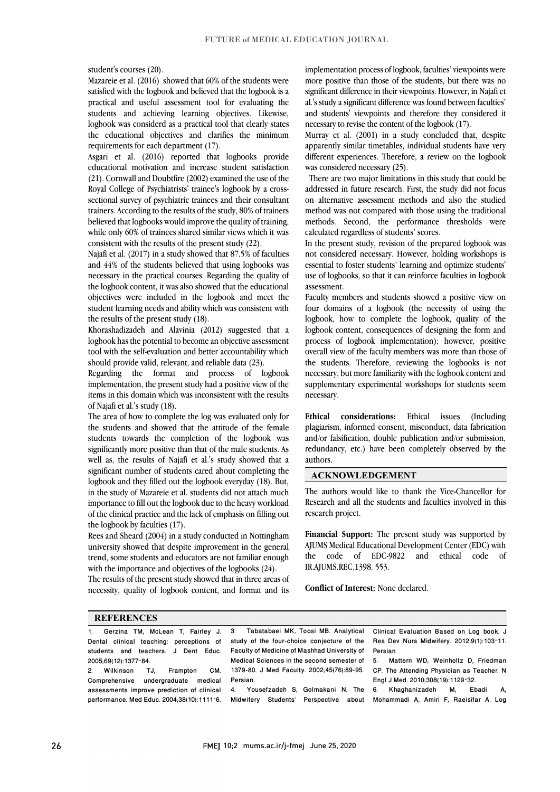student's courses (20).

Mazareie et al. (2016) showed that 60% of the students were satisfied with the logbook and believed that the logbook is a practical and useful assessment tool for evaluating the students and achieving learning objectives. Likewise, logbook was considerd as a practical tool that clearly states the educational objectives and clarifies the minimum requirements for each department (17).

Asgari et al. (2016) reported that logbooks provide educational motivation and increase student satisfaction (21). Cornwall and Doubtfire (2002) examined the use of the Royal College of Psychiatrists' trainee's logbook by a crosssectional survey of psychiatric trainees and their consultant trainers. According to the results of the study, 80% of trainers believed that logbooks would improve the quality of training, while only 60% of trainees shared similar views which it was consistent with the results of the present study (22).

Najafi et al. (2017) in a study showed that 87.5% of faculties and 44% of the students believed that using logbooks was necessary in the practical courses. Regarding the quality of the logbook content, it was also showed that the educational objectives were included in the logbook and meet the student learning needs and ability which was consistent with the results of the present study (18).

Khorashadizadeh and Alavinia (2012) suggested that a logbook has the potential to become an objective assessment tool with the self-evaluation and better accountability which should provide valid, relevant, and reliable data (23).

Regarding the format and process of logbook implementation, the present study had a positive view of the items in this domain which was inconsistent with the results of Najafi et al.'s study (18).

The area of how to complete the log was evaluated only for the students and showed that the attitude of the female students towards the completion of the logbook was significantly more positive than that of the male students. As well as, the results of Najafi et al.'s study showed that a significant number of students cared about completing the logbook and they filled out the logbook everyday (18). But, in the study of Mazareie et al. students did not attach much importance to fill out the logbook due to the heavy workload of the clinical practice and the lack of emphasis on filling out the logbook by faculties (17).

Rees and Sheard (2004) in a study conducted in Nottingham university showed that despite improvement in the general trend, some students and educators are not familiar enough with the importance and objectives of the logbooks (24).

The results of the present study showed that in three areas of necessity, quality of logbook content, and format and its

implementation process of logbook, faculties'viewpoints were more positive than those of the students, but there was no significant difference in their viewpoints. However, in Najafi et al.'s study a significant difference was found between faculties' and students' viewpoints and therefore they considered it necessary to revise the content of the logbook (17).

Murray et al. (2001) in a study concluded that, despite apparently similar timetables, individual students have very different experiences. Therefore, a review on the logbook was considered necessary (25).

 There are two major limitations in this study that could be addressed in future research. First, the study did not focus on alternative assessment methods and also the studied method was not compared with those using the traditional methods. Second, the performance thresholds were calculated regardless of students' scores.

In the present study, revision of the prepared logbook was not considered necessary. However, holding workshops is essential to foster students' learning and optimize students' use of logbooks, so that it can reinforce faculties in logbook assessment.

Faculty members and students showed a positive view on four domains of a logbook (the necessity of using the logbook, how to complete the logbook, quality of the logbook content, consequences of designing the form and process of logbook implementation); however, positive overall view of the faculty members was more than those of the students. Therefore, reviewing the logbooks is not necessary, but more familiarity with the logbook content and supplementary experimental workshops for students seem necessary.

**Ethical considerations:** Ethical issues (Including plagiarism, informed consent, misconduct, data fabrication and/or falsification, double publication and/or submission, redundancy, etc.) have been completely observed by the authors.

#### **ACKNOWLEDGEMENT**

The authors would like to thank the Vice-Chancellor for Research and all the students and faculties involved in this research project.

**Financial Support:** The present study was supported by AJUMS Medical Educational Development Center (EDC) with the code of EDC-9822 and ethical code of IR.AJUMS.REC.1398. 553.

**Conflict of Interest:** None declared.

#### **REFERENCES**

1. Gerzina TM, McLean T, Fairley J. Dental clinical teaching: perceptions of students and teachers. J Dent Educ. 2005;69(12):1377-84.<br>2. Wilkinson TJ.

2. Wilkinson TJ, Frampton CM. undergraduate medical assessments improve prediction of clinical performance. Med Educ. 2004;38(10):1111–6. 3. Tabatabaei MK, Toosi MB. Analytical study of the four-choice conjecture of the Faculty of Medicine of Mashhad University of Medical Sciences in the second semester of 1379-80. J Med Faculty. 2002;45(76):89-95. **Parcian** 

4. Yousefzadeh S, Golmakani N. The Midwifery Students' Perspective about

Clinical Evaluation Based on Log book. J Res Dev Nurs Midwifery. 2012;9(1):103–11. Persian.

5. Mattern WD, Weinholtz D, Friedman CP. The Attending Physician as Teacher. N Engl J Med. 2010;308(19):1129–32.

6. Khaghanizadeh M, Ebadi A, Mohammadi A, Amiri F, Raeisifar A. Log